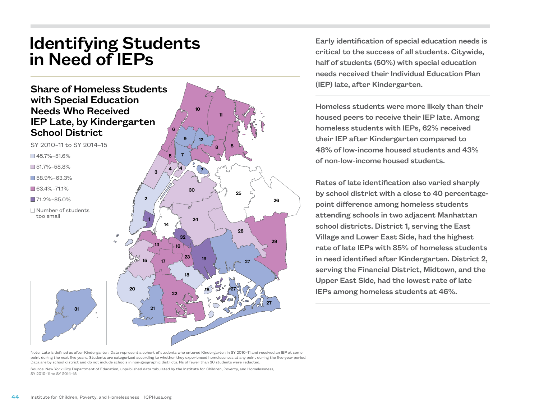## Identifying Students in Need of IEPs



SY 2010–11 to SY 2014–15  $\Box$  45.7%–51.6% n 51.7%–58.8%

n 58.9%–63.3%

 $\Box$  63.4%–71.1%

 $171.2% - 85.0%$ 

 $\Box$  Number of students too small



Early identification of special education needs is critical to the success of all students. Citywide, half of students (50%) with special education needs received their Individual Education Plan (IEP) late, after Kindergarten.

Homeless students were more likely than their housed peers to receive their IEP late. Among homeless students with IEPs, 62% received their IEP after Kindergarten compared to 48% of low-income housed students and 43% of non-low-income housed students.

Rates of late identification also varied sharply by school district with a close to 40 percentagepoint difference among homeless students attending schools in two adjacent Manhattan school districts. District 1, serving the East Village and Lower East Side, had the highest rate of late IEPs with 85% of homeless students in need identified after Kindergarten. District 2, serving the Financial District, Midtown, and the Upper East Side, had the lowest rate of late IEPs among homeless students at 46%.

Source: New York City Department of Education, unpublished data tabulated by the Institute for Children, Poverty, and Homelessness, SY 2010–11 to SY 2014–15.

31

Note: Late is defined as after Kindergarten. Data represent a cohort of students who entered Kindergarten in SY 2010–11 and received an IEP at some point during the next five years. Students are categorized according to whether they experienced homelessness at any point during the five-year period. Data are by school district and do not include schools in non-geographic districts. Ns of fewer than 30 students were redacted.